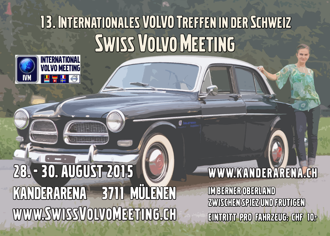# 13. INTERNATIONALES VOLVO TREFFEN IN DER SCHWEIZ SWISS VOLVO MEETING



# 28. - 30. AUGUST 2015 KANDERARENA 3711 MÜLENEN WWW.SWISSVOLVOMEETING.CH

W W W. KANDER ARENA.CH IM BERNER OBERLAND ZWISCHEN SPIEZ UND FRUTIGEN EINTRITT PRO FAHRZEUG: CHF 10.-